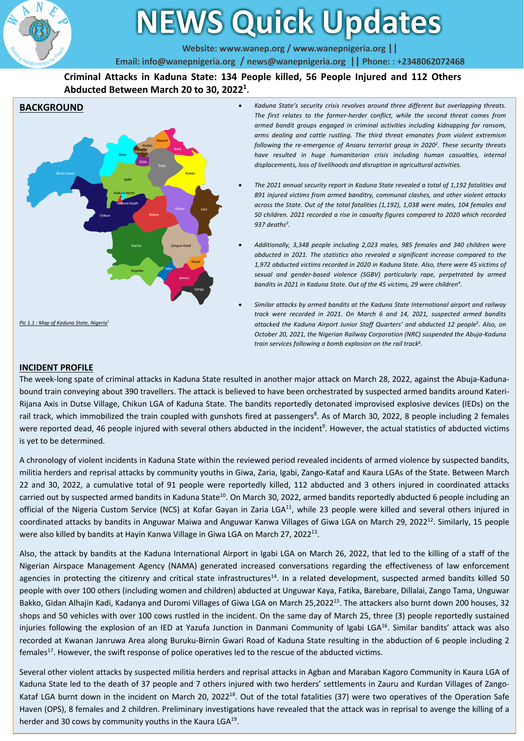

# **NEWS Quick Updates**

Website: www.wanep.org / www.wanepnigeria.org | |

Email: info@wanepnigeria.org / news@wanepnigeria.org | Phone: : +2348062072468

**Criminal Attacks in Kaduna State: 134 People killed, 56 People Injured and 112 Others Abducted Between March 20 to 30, 20221 .**



- *Kaduna State's security crisis revolves around three different but overlapping threats. The first relates to the farmer-herder conflict, while the second threat comes from armed bandit groups engaged in criminal activities including kidnapping for ransom, arms dealing and cattle rustling. The third threat emanates from violent extremism following the re-emergence of Ansaru terrorist group in 20202. These security threats have resulted in huge humanitarian crisis including human casualties, internal displacements, loss of livelihoods and disruption in agricultural activities.*
- *The 2021 annual security report in Kaduna State revealed a total of 1,192 fatalities and 891 injured victims from armed banditry, communal clashes, and other violent attacks across the State. Out of the total fatalities (1,192), 1,038 were males, 104 females and 50 children. 2021 recorded a rise in casualty figures compared to 2020 which recorded 937 deaths3.*
- *Additionally, 3,348 people including 2,023 males, 985 females and 340 children were abducted in 2021. The statistics also revealed a significant increase compared to the 1,972 abducted victims recorded in 2020 in Kaduna State. Also, there were 45 victims of sexual and gender-based violence (SGBV) particularly rape, perpetrated by armed bandits in 2021 in Kaduna State. Out of the 45 victims, 29 were children4.*
- *Similar attacks by armed bandits at the Kaduna State International airport and railway track were recorded in 2021. On March 6 and 14, 2021, suspected armed bandits attacked the Kaduna Airport Junior Staff Quarters' and abducted 12 people5. Also, on October 20, 2021, the Nigerian Railway Corporation (NRC) suspended the Abuja-Kaduna train services following a bomb explosion on the rail track6.*

#### **INCIDENT PROFILE**

The week-long spate of criminal attacks in Kaduna State resulted in another major attack on March 28, 2022, against the Abuja-Kadunabound train conveying about 390 travellers. The attack is believed to have been orchestrated by suspected armed bandits around Kateri-Rijana Axis in Dutse Village, Chikun LGA of Kaduna State. The bandits reportedly detonated improvised explosive devices (IEDs) on the rail track, which immobilized the train coupled with gunshots fired at passengers<sup>8</sup>. As of March 30, 2022, 8 people including 2 females were reported dead, 46 people injured with several others abducted in the incident<sup>9</sup>. However, the actual statistics of abducted victims is yet to be determined.

A chronology of violent incidents in Kaduna State within the reviewed period revealed incidents of armed violence by suspected bandits, militia herders and reprisal attacks by community youths in Giwa, Zaria, Igabi, Zango-Kataf and Kaura LGAs of the State. Between March 22 and 30, 2022, a cumulative total of 91 people were reportedly killed, 112 abducted and 3 others injured in coordinated attacks carried out by suspected armed bandits in Kaduna State<sup>10</sup>. On March 30, 2022, armed bandits reportedly abducted 6 people including an official of the Nigeria Custom Service (NCS) at Kofar Gayan in Zaria LGA<sup>11</sup>, while 23 people were killed and several others injured in coordinated attacks by bandits in Anguwar Maiwa and Anguwar Kanwa Villages of Giwa LGA on March 29, 2022<sup>12</sup>. Similarly, 15 people were also killed by bandits at Hayin Kanwa Village in Giwa LGA on March 27, 202213.

Also, the attack by bandits at the Kaduna International Airport in Igabi LGA on March 26, 2022, that led to the killing of a staff of the Nigerian Airspace Management Agency (NAMA) generated increased conversations regarding the effectiveness of law enforcement agencies in protecting the citizenry and critical state infrastructures<sup>14</sup>. In a related development, suspected armed bandits killed 50 people with over 100 others (including women and children) abducted at Unguwar Kaya, Fatika, Barebare, Dillalai, Zango Tama, Unguwar Bakko, Gidan Alhajin Kadi, Kadanya and Duromi Villages of Giwa LGA on March 25,2022<sup>15</sup>. The attackers also burnt down 200 houses, 32 shops and 50 vehicles with over 100 cows rustled in the incident. On the same day of March 25, three (3) people reportedly sustained injuries following the explosion of an IED at Yazufa Junction in Danmani Community of Igabi LGA<sup>16</sup>. Similar bandits' attack was also recorded at Kwanan Janruwa Area along Buruku-Birnin Gwari Road of Kaduna State resulting in the abduction of 6 people including 2 females<sup>17</sup>. However, the swift response of police operatives led to the rescue of the abducted victims.

1 Haven (OPS), 8 females and 2 children. Preliminary investigations have revealed that the attack was in reprisal to avenge the killing of a Several other violent attacks by suspected militia herders and reprisal attacks in Agban and Maraban Kagoro Community in Kaura LGA of Kaduna State led to the death of 37 people and 7 others injured with two herders' settlements in Zauru and Kurdan Villages of Zango-Kataf LGA burnt down in the incident on March 20, 2022<sup>18</sup>. Out of the total fatalities (37) were two operatives of the Operation Safe herder and 30 cows by community youths in the Kaura LGA<sup>19</sup>.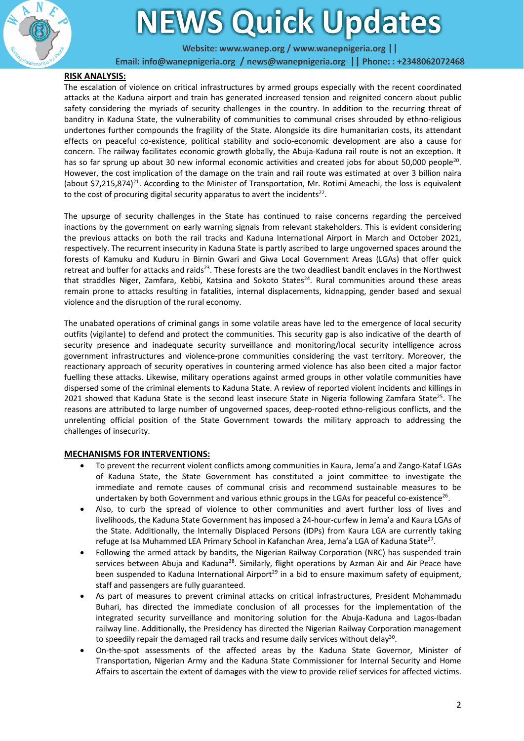

# **EWS Quick Updates**

Website: www.wanep.org / www.wanepnigeria.org | |

Email: info@wanepnigeria.org / news@wanepnigeria.org || Phone: : +2348062072468

## **RISK ANALYSIS:**

The escalation of violence on critical infrastructures by armed groups especially with the recent coordinated attacks at the Kaduna airport and train has generated increased tension and reignited concern about public safety considering the myriads of security challenges in the country. In addition to the recurring threat of banditry in Kaduna State, the vulnerability of communities to communal crises shrouded by ethno-religious undertones further compounds the fragility of the State. Alongside its dire humanitarian costs, its attendant effects on peaceful co-existence, political stability and socio-economic development are also a cause for concern. The railway facilitates economic growth globally, the Abuja-Kaduna rail route is not an exception. It has so far sprung up about 30 new informal economic activities and created jobs for about 50,000 people<sup>20</sup>. However, the cost implication of the damage on the train and rail route was estimated at over 3 billion naira (about \$7,215,874)<sup>21</sup>. According to the Minister of Transportation, Mr. Rotimi Ameachi, the loss is equivalent to the cost of procuring digital security apparatus to avert the incidents $^{22}$ .

The upsurge of security challenges in the State has continued to raise concerns regarding the perceived inactions by the government on early warning signals from relevant stakeholders. This is evident considering the previous attacks on both the rail tracks and Kaduna International Airport in March and October 2021, respectively. The recurrent insecurity in Kaduna State is partly ascribed to large ungoverned spaces around the forests of Kamuku and Kuduru in Birnin Gwari and Giwa Local Government Areas (LGAs) that offer quick retreat and buffer for attacks and raids<sup>23</sup>. These forests are the two deadliest bandit enclaves in the Northwest that straddles Niger, Zamfara, Kebbi, Katsina and Sokoto States<sup>24</sup>. Rural communities around these areas remain prone to attacks resulting in fatalities, internal displacements, kidnapping, gender based and sexual violence and the disruption of the rural economy.

The unabated operations of criminal gangs in some volatile areas have led to the emergence of local security outfits (vigilante) to defend and protect the communities. This security gap is also indicative of the dearth of security presence and inadequate security surveillance and monitoring/local security intelligence across government infrastructures and violence-prone communities considering the vast territory. Moreover, the reactionary approach of security operatives in countering armed violence has also been cited a major factor fuelling these attacks. Likewise, military operations against armed groups in other volatile communities have dispersed some of the criminal elements to Kaduna State. A review of reported violent incidents and killings in 2021 showed that Kaduna State is the second least insecure State in Nigeria following Zamfara State<sup>25</sup>. The reasons are attributed to large number of ungoverned spaces, deep-rooted ethno-religious conflicts, and the unrelenting official position of the State Government towards the military approach to addressing the challenges of insecurity.

### **MECHANISMS FOR INTERVENTIONS:**

- To prevent the recurrent violent conflicts among communities in Kaura, Jema'a and Zango-Kataf LGAs of Kaduna State, the State Government has constituted a joint committee to investigate the immediate and remote causes of communal crisis and recommend sustainable measures to be undertaken by both Government and various ethnic groups in the LGAs for peaceful co-existence<sup>26</sup>.
- Also, to curb the spread of violence to other communities and avert further loss of lives and livelihoods, the Kaduna State Government has imposed a 24-hour-curfew in Jema'a and Kaura LGAs of the State. Additionally, the Internally Displaced Persons (IDPs) from Kaura LGA are currently taking refuge at Isa Muhammed LEA Primary School in Kafanchan Area, Jema'a LGA of Kaduna State<sup>27</sup>.
- Following the armed attack by bandits, the Nigerian Railway Corporation (NRC) has suspended train services between Abuja and Kaduna<sup>28</sup>. Similarly, flight operations by Azman Air and Air Peace have been suspended to Kaduna International Airport<sup>29</sup> in a bid to ensure maximum safety of equipment, staff and passengers are fully guaranteed.
- As part of measures to prevent criminal attacks on critical infrastructures, President Mohammadu Buhari, has directed the immediate conclusion of all processes for the implementation of the integrated security surveillance and monitoring solution for the Abuja-Kaduna and Lagos-Ibadan railway line. Additionally, the Presidency has directed the Nigerian Railway Corporation management to speedily repair the damaged rail tracks and resume daily services without delay<sup>30</sup>.
- On-the-spot assessments of the affected areas by the Kaduna State Governor, Minister of Transportation, Nigerian Army and the Kaduna State Commissioner for Internal Security and Home Affairs to ascertain the extent of damages with the view to provide relief services for affected victims.